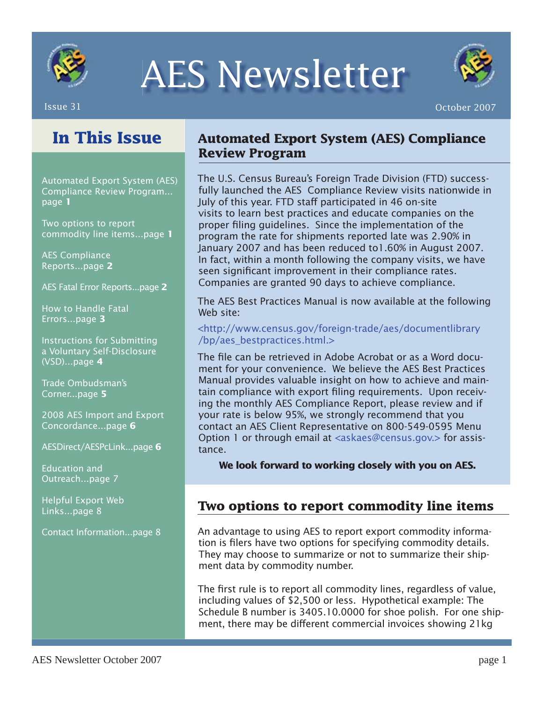

# AES Newsletter



## **In This Issue**

Automated Export System (AES) Compliance Review Program... page **1**

Two options to report commodity line items...page **1**

AES Compliance Reports...page **2**

AES Fatal Error Reports...page **2**

How to Handle Fatal Errors...page **3**

Instructions for Submitting a Voluntary Self-Disclosure (VSD)...page **4**

Trade Ombudsman's Corner...page **5**

2008 AES Import and Export Concordance...page **6**

AESDirect/AESPcLink...page **6**

Education and Outreach...page 7

Helpful Export Web Links...page 8

Contact Information...page 8

### **Automated Export System (AES) Compliance Review Program**

The U.S. Census Bureau's Foreign Trade Division (FTD) successfully launched the AES Compliance Review visits nationwide in July of this year. FTD staff participated in 46 on-site visits to learn best practices and educate companies on the proper filing guidelines. Since the implementation of the program the rate for shipments reported late was 2.90% in January 2007 and has been reduced to1.60% in August 2007. In fact, within a month following the company visits, we have seen significant improvement in their compliance rates. Companies are granted 90 days to achieve compliance.

The AES Best Practices Manual is now available at the following Web site:

### <http://www.census.gov/foreign-trade/aes/documentlibrary /bp/aes\_bestpractices.html.>

The file can be retrieved in Adobe Acrobat or as a Word document for your convenience. We believe the AES Best Practices Manual provides valuable insight on how to achieve and maintain compliance with export filing requirements. Upon receiving the monthly AES Compliance Report, please review and if your rate is below 95%, we strongly recommend that you contact an AES Client Representative on 800-549-0595 Menu Option 1 or through email at <askaes@census.gov.> for assistance.

**We look forward to working closely with you on AES.** 

### **Two options to report commodity line items**

An advantage to using AES to report export commodity information is filers have two options for specifying commodity details. They may choose to summarize or not to summarize their shipment data by commodity number.

The first rule is to report all commodity lines, regardless of value, including values of \$2,500 or less. Hypothetical example: The Schedule B number is 3405.10.0000 for shoe polish. For one shipment, there may be different commercial invoices showing 21kg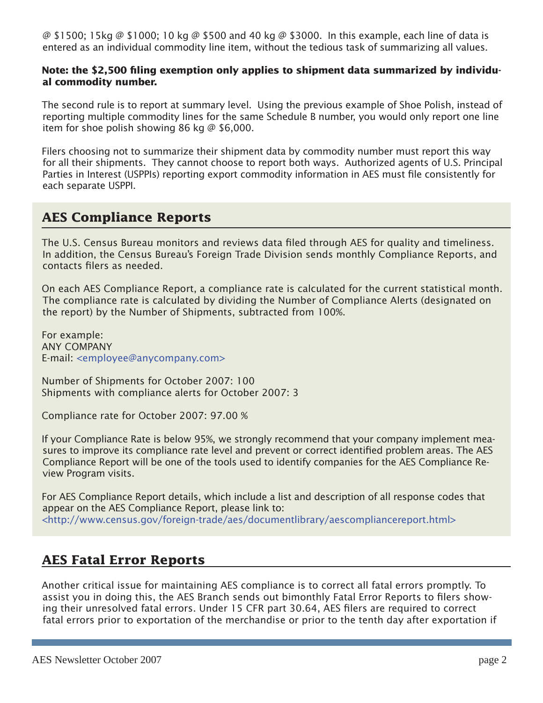@ \$1500; 15kg @ \$1000; 10 kg @ \$500 and 40 kg @ \$3000. In this example, each line of data is entered as an individual commodity line item, without the tedious task of summarizing all values.

### Note: the \$2,500 filing exemption only applies to shipment data summarized by individu**al commodity number.**

The second rule is to report at summary level. Using the previous example of Shoe Polish, instead of reporting multiple commodity lines for the same Schedule B number, you would only report one line item for shoe polish showing 86 kg  $\omega$  \$6,000.

Filers choosing not to summarize their shipment data by commodity number must report this way for all their shipments. They cannot choose to report both ways. Authorized agents of U.S. Principal Parties in Interest (USPPIs) reporting export commodity information in AES must file consistently for each separate USPPI.

### **AES Compliance Reports**

The U.S. Census Bureau monitors and reviews data filed through AES for quality and timeliness. In addition, the Census Bureau's Foreign Trade Division sends monthly Compliance Reports, and contacts filers as needed.

On each AES Compliance Report, a compliance rate is calculated for the current statistical month. The compliance rate is calculated by dividing the Number of Compliance Alerts (designated on the report) by the Number of Shipments, subtracted from 100%.

For example: ANY COMPANY E-mail: <employee@anycompany.com>

Number of Shipments for October 2007: 100 Shipments with compliance alerts for October 2007: 3

Compliance rate for October 2007: 97.00 %

If your Compliance Rate is below 95%, we strongly recommend that your company implement measures to improve its compliance rate level and prevent or correct identified problem areas. The AES Compliance Report will be one of the tools used to identify companies for the AES Compliance Review Program visits.

For AES Compliance Report details, which include a list and description of all response codes that appear on the AES Compliance Report, please link to: <http://www.census.gov/foreign-trade/aes/documentlibrary/aescompliancereport.html>

### **AES Fatal Error Reports**

Another critical issue for maintaining AES compliance is to correct all fatal errors promptly. To assist you in doing this, the AES Branch sends out bimonthly Fatal Error Reports to filers showing their unresolved fatal errors. Under 15 CFR part 30.64, AES filers are required to correct fatal errors prior to exportation of the merchandise or prior to the tenth day after exportation if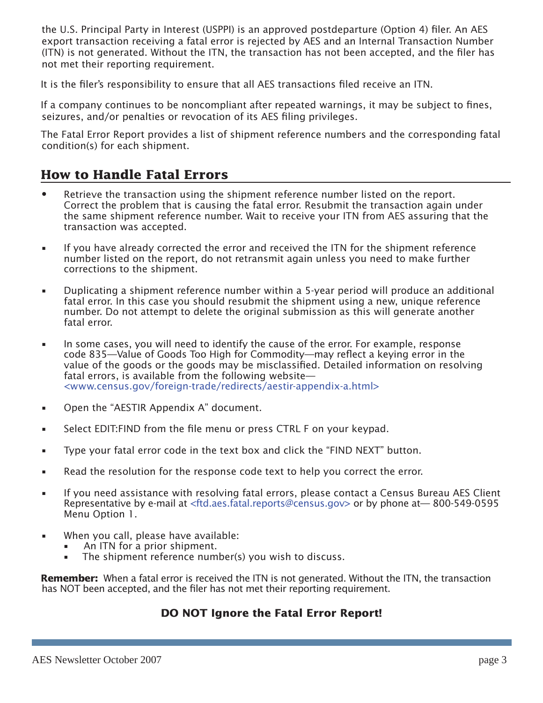the U.S. Principal Party in Interest (USPPI) is an approved postdeparture (Option 4) filer. An AES export transaction receiving a fatal error is rejected by AES and an Internal Transaction Number (ITN) is not generated. Without the ITN, the transaction has not been accepted, and the filer has not met their reporting requirement.

It is the filer's responsibility to ensure that all AES transactions filed receive an ITN.

If a company continues to be noncompliant after repeated warnings, it may be subject to fines, seizures, and/or penalties or revocation of its AES filing privileges.

The Fatal Error Report provides a list of shipment reference numbers and the corresponding fatal condition(s) for each shipment.

### **How to Handle Fatal Errors**

- Retrieve the transaction using the shipment reference number listed on the report. Correct the problem that is causing the fatal error. Resubmit the transaction again under the same shipment reference number. Wait to receive your ITN from AES assuring that the transaction was accepted.
- If you have already corrected the error and received the ITN for the shipment reference number listed on the report, do not retransmit again unless you need to make further corrections to the shipment.
- Duplicating a shipment reference number within a 5-year period will produce an additional fatal error. In this case you should resubmit the shipment using a new, unique reference number. Do not attempt to delete the original submission as this will generate another fatal error.
- In some cases, you will need to identify the cause of the error. For example, response code 835—Value of Goods Too High for Commodity—may reflect a keying error in the value of the goods or the goods may be misclassified. Detailed information on resolving fatal errors, is available from the following website— <www.census.gov/foreign-trade/redirects/aestir-appendix-a.html>
- Open the "AESTIR Appendix A" document.
- Select EDIT: FIND from the file menu or press CTRL F on your keypad.
- Type your fatal error code in the text box and click the "FIND NEXT" button.
- Read the resolution for the response code text to help you correct the error.
- If you need assistance with resolving fatal errors, please contact a Census Bureau AES Client Representative by e-mail at <ftd.aes.fatal.reports@census.gov> or by phone at— 800-549-0595 Menu Option 1.
- When you call, please have available:
	- An ITN for a prior shipment. •
	- The shipment reference number(s) you wish to discuss. •

**Remember:** When a fatal error is received the ITN is not generated. Without the ITN, the transaction has NOT been accepted, and the filer has not met their reporting requirement.

### **DO NOT Ignore the Fatal Error Report!**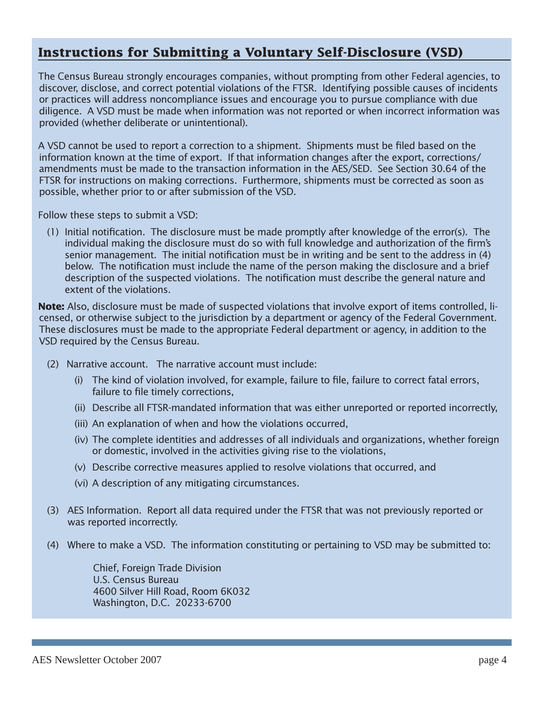### **Instructions for Submitting a Voluntary Self-Disclosure (VSD)**

The Census Bureau strongly encourages companies, without prompting from other Federal agencies, to discover, disclose, and correct potential violations of the FTSR. Identifying possible causes of incidents or practices will address noncompliance issues and encourage you to pursue compliance with due diligence. A VSD must be made when information was not reported or when incorrect information was provided (whether deliberate or unintentional).

A VSD cannot be used to report a correction to a shipment. Shipments must be filed based on the information known at the time of export. If that information changes after the export, corrections/ amendments must be made to the transaction information in the AES/SED. See Section 30.64 of the FTSR for instructions on making corrections. Furthermore, shipments must be corrected as soon as possible, whether prior to or after submission of the VSD.

Follow these steps to submit a VSD:

 $(1)$  Initial notification. The disclosure must be made promptly after knowledge of the error(s). The individual making the disclosure must do so with full knowledge and authorization of the firm's senior management. The initial notification must be in writing and be sent to the address in  $(4)$ below. The notification must include the name of the person making the disclosure and a brief description of the suspected violations. The notification must describe the general nature and extent of the violations.

**Note:** Also, disclosure must be made of suspected violations that involve export of items controlled, licensed, or otherwise subject to the jurisdiction by a department or agency of the Federal Government. These disclosures must be made to the appropriate Federal department or agency, in addition to the VSD required by the Census Bureau.

- (2) Narrative account. The narrative account must include:
	- (i) The kind of violation involved, for example, failure to file, failure to correct fatal errors, failure to file timely corrections,
	- (ii) Describe all FTSR-mandated information that was either unreported or reported incorrectly,
	- (iii) An explanation of when and how the violations occurred,
	- (iv) The complete identities and addresses of all individuals and organizations, whether foreign or domestic, involved in the activities giving rise to the violations,
	- (v) Describe corrective measures applied to resolve violations that occurred, and
	- (vi) A description of any mitigating circumstances.
- (3) AES Information. Report all data required under the FTSR that was not previously reported or was reported incorrectly.
- (4) Where to make a VSD. The information constituting or pertaining to VSD may be submitted to:

 Chief, Foreign Trade Division U.S. Census Bureau 4600 Silver Hill Road, Room 6K032 Washington, D.C. 20233-6700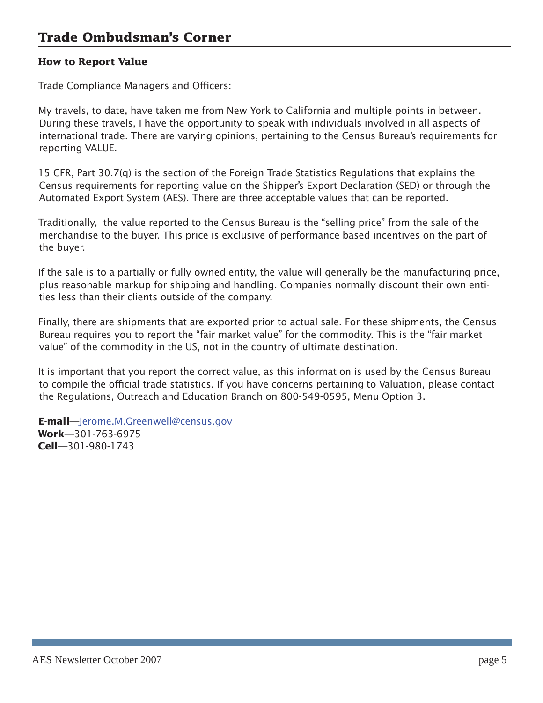### **How to Report Value**

Trade Compliance Managers and Officers:

My travels, to date, have taken me from New York to California and multiple points in between. During these travels, I have the opportunity to speak with individuals involved in all aspects of international trade. There are varying opinions, pertaining to the Census Bureau's requirements for reporting VALUE.

15 CFR, Part 30.7(q) is the section of the Foreign Trade Statistics Regulations that explains the Census requirements for reporting value on the Shipper's Export Declaration (SED) or through the Automated Export System (AES). There are three acceptable values that can be reported.

Traditionally, the value reported to the Census Bureau is the "selling price" from the sale of the merchandise to the buyer. This price is exclusive of performance based incentives on the part of the buyer.

If the sale is to a partially or fully owned entity, the value will generally be the manufacturing price, plus reasonable markup for shipping and handling. Companies normally discount their own entities less than their clients outside of the company.

Finally, there are shipments that are exported prior to actual sale. For these shipments, the Census Bureau requires you to report the "fair market value" for the commodity. This is the "fair market value" of the commodity in the US, not in the country of ultimate destination.

It is important that you report the correct value, as this information is used by the Census Bureau to compile the official trade statistics. If you have concerns pertaining to Valuation, please contact the Regulations, Outreach and Education Branch on 800-549-0595, Menu Option 3.

**E-mail**—Jerome.M.Greenwell@census.gov **Work**—301-763-6975 **Cell**—301-980-1743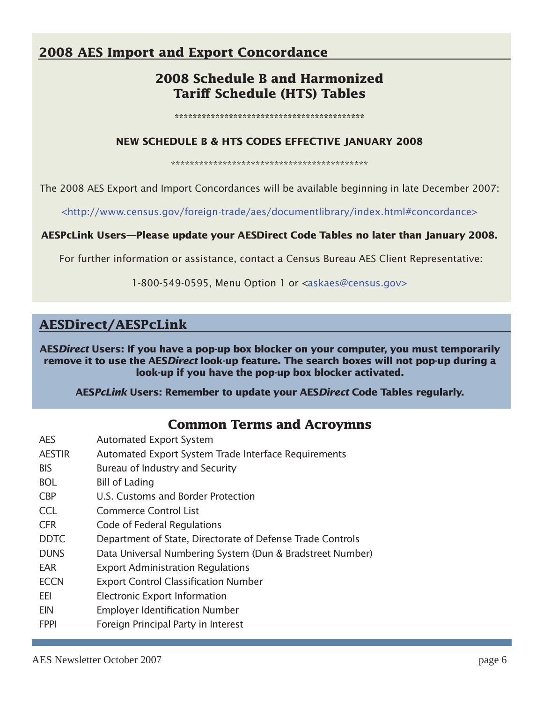### **2008 AES Import and Export Concordance**

### **2008 Schedule B and Harmonized Tariff Schedule (HTS) Tables**

**\*\*\*\*\*\*\*\*\*\*\*\*\*\*\*\*\*\*\*\*\*\*\*\*\*\*\*\*\*\*\*\*\*\*\*\*\*\*\*\*\*\***

#### **NEW SCHEDULE B & HTS CODES EFFECTIVE JANUARY 2008**

\*\*\*\*\*\*\*\*\*\*\*\*\*\*\*\*\*\*\*\*\*\*\*\*\*\*\*\*\*\*\*\*\*\*\*\*\*\*\*\*\*\*

The 2008 AES Export and Import Concordances will be available beginning in late December 2007:

<http://www.census.gov/foreign-trade/aes/documentlibrary/index.html#concordance>

### **AESPcLink Users—Please update your AESDirect Code Tables no later than January 2008.**

For further information or assistance, contact a Census Bureau AES Client Representative:

1-800-549-0595, Menu Option 1 or <askaes@census.gov>

### **AESDirect/AESPcLink**

**AES***Direct* **Users: If you have a pop-up box blocker on your computer, you must temporarily remove it to use the AES***Direct* **look-up feature. The search boxes will not pop-up during a look-up if you have the pop-up box blocker activated.**

**AES***PcLink* **Users: Remember to update your AES***Direct* **Code Tables regularly.**

### **Common Terms and Acroymns**

- AES Automated Export System
- AESTIR Automated Export System Trade Interface Requirements
- BIS Bureau of Industry and Security
- BOL Bill of Lading
- CBP U.S. Customs and Border Protection
- CCL Commerce Control List
- CFR Code of Federal Regulations
- DDTC Department of State, Directorate of Defense Trade Controls
- DUNS Data Universal Numbering System (Dun & Bradstreet Number)
- EAR Export Administration Regulations
- ECCN Export Control Classification Number
- EEI Electronic Export Information
- EIN Employer Identification Number
- FPPI Foreign Principal Party in Interest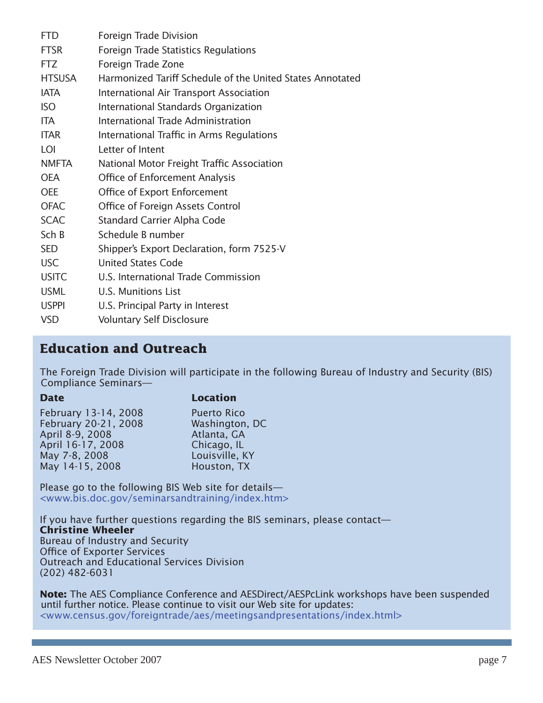| <b>FTD</b>    | Foreign Trade Division                                    |
|---------------|-----------------------------------------------------------|
| <b>FTSR</b>   | Foreign Trade Statistics Regulations                      |
| <b>FTZ</b>    | Foreign Trade Zone                                        |
| <b>HTSUSA</b> | Harmonized Tariff Schedule of the United States Annotated |
| <b>IATA</b>   | International Air Transport Association                   |
| <b>ISO</b>    | International Standards Organization                      |
| ITA.          | <b>International Trade Administration</b>                 |
| <b>ITAR</b>   | International Traffic in Arms Regulations                 |
| LOI           | Letter of Intent                                          |
| <b>NMFTA</b>  | National Motor Freight Traffic Association                |
| <b>OEA</b>    | Office of Enforcement Analysis                            |
| <b>OEE</b>    | Office of Export Enforcement                              |
| <b>OFAC</b>   | Office of Foreign Assets Control                          |
| <b>SCAC</b>   | <b>Standard Carrier Alpha Code</b>                        |
| Sch B         | Schedule B number                                         |
| <b>SED</b>    | Shipper's Export Declaration, form 7525-V                 |
| <b>USC</b>    | <b>United States Code</b>                                 |
| <b>USITC</b>  | U.S. International Trade Commission                       |
| <b>USML</b>   | U.S. Munitions List                                       |
| <b>USPPI</b>  | U.S. Principal Party in Interest                          |
| <b>VSD</b>    | <b>Voluntary Self Disclosure</b>                          |

### **Education and Outreach**

The Foreign Trade Division will participate in the following Bureau of Industry and Security (BIS) Compliance Seminars—

### **Date Location**

| February 13-14, 2008 | <b>Puerto Rico</b> |
|----------------------|--------------------|
| February 20-21, 2008 | Washington, DC     |
| April 8-9, 2008      | Atlanta, GA        |
| April 16-17, 2008    | Chicago, IL        |
| May 7-8, 2008        | Louisville, KY     |
| May 14-15, 2008      | Houston, TX        |
|                      |                    |

Please go to the following BIS Web site for details— <www.bis.doc.gov/seminarsandtraining/index.htm>

If you have further questions regarding the BIS seminars, please contact— **Christine Wheeler** Bureau of Industry and Security Office of Exporter Services Outreach and Educational Services Division (202) 482-6031

**Note:** The AES Compliance Conference and AESDirect/AESPcLink workshops have been suspended until further notice. Please continue to visit our Web site for updates: <www.census.gov/foreigntrade/aes/meetingsandpresentations/index.html>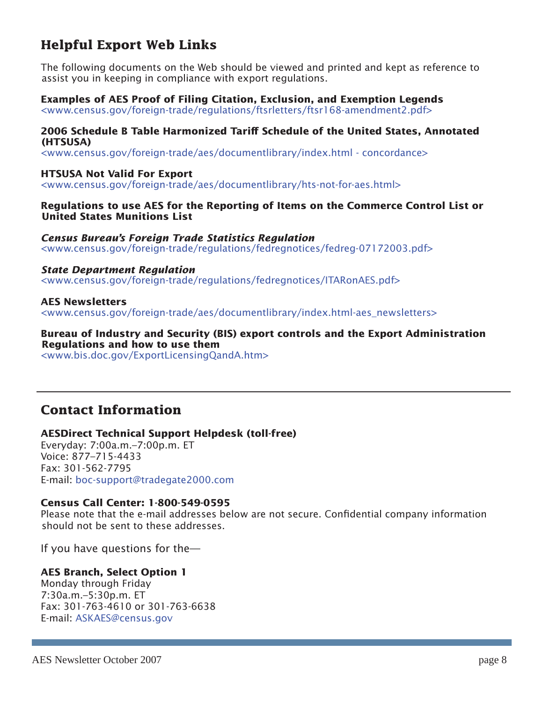### **Helpful Export Web Links**

The following documents on the Web should be viewed and printed and kept as reference to assist you in keeping in compliance with export regulations.

### **Examples of AES Proof of Filing Citation, Exclusion, and Exemption Legends**

<www.census.gov/foreign-trade/regulations/ftsrletters/ftsr168-amendment2.pdf>

#### **2006 Schedule B Table Harmonized Tariff Schedule of the United States, Annotated (HTSUSA)**

<www.census.gov/foreign-trade/aes/documentlibrary/index.html - concordance>

### **HTSUSA Not Valid For Export**

<www.census.gov/foreign-trade/aes/documentlibrary/hts-not-for-aes.html>

#### **Regulations to use AES for the Reporting of Items on the Commerce Control List or United States Munitions List**

#### *Census Bureau's Foreign Trade Statistics Regulation*

<www.census.gov/foreign-trade/regulations/fedregnotices/fedreg-07172003.pdf>

### *State Department Regulation*

<www.census.gov/foreign-trade/regulations/fedregnotices/ITARonAES.pdf>

### **AES Newsletters**

<www.census.gov/foreign-trade/aes/documentlibrary/index.html-aes\_newsletters>

#### **Bureau of Industry and Security (BIS) export controls and the Export Administration Regulations and how to use them**

<www.bis.doc.gov/ExportLicensingQandA.htm>

### **Contact Information**

### **AESDirect Technical Support Helpdesk (toll-free)**

Everyday: 7:00a.m.–7:00p.m. ET Voice: 877–715-4433 Fax: 301-562-7795 E-mail: boc-support@tradegate2000.com

### **Census Call Center: 1-800-549-0595**

Please note that the e-mail addresses below are not secure. Confidential company information should not be sent to these addresses.

If you have questions for the—

### **AES Branch, Select Option 1**

Monday through Friday 7:30a.m.–5:30p.m. ET Fax: 301-763-4610 or 301-763-6638 E-mail: ASKAES@census.gov